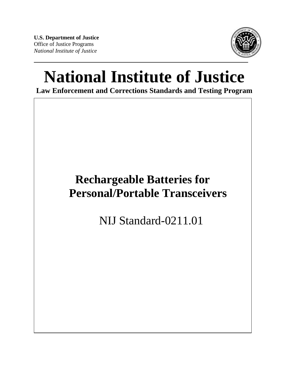**U.S. Department of Justice**  Office of Justice Programs *National Institute of Justice* 



# **National Institute of Justice**

**Law Enforcement and Corrections Standards and Testing Program** 

# **Rechargeable Batteries for Personal/Portable Transceivers**

NIJ Standard-0211.01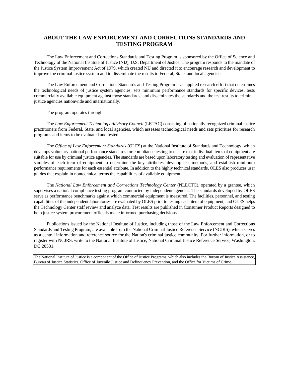#### **ABOUT THE LAW ENFORCEMENT AND CORRECTIONS STANDARDS AND TESTING PROGRAM**

The Law Enforcement and Corrections Standards and Testing Program is sponsored by the Office of Science and Technology of the National Institute of Justice (NIJ), U.S. Department of Justice. The program responds to the mandate of the Justice System Improvement Act of 1979, which created NIJ and directed it to encourage research and development to improve the criminal justice system and to disseminate the results to Federal, State, and local agencies.

The Law Enforcement and Corrections Standards and Testing Program is an applied research effort that determines the technological needs of justice system agencies, sets minimum performance standards for specific devices, tests commercially available equipment against those standards, and disseminates the standards and the test results to criminal justice agencies nationwide and internationally.

The program operates through:

The *Law Enforcement Technology Advisory Council* (LETAC) consisting of nationally recognized criminal justice practitioners from Federal, State, and local agencies, which assesses technological needs and sets priorities for research programs and items to be evaluated and tested.

The *Office of Law Enforcement Standards* (OLES) at the National Institute of Standards and Technology, which develops voluntary national performance standards for compliance testing to ensure that individual items of equipment are suitable for use by criminal justice agencies. The standards are based upon laboratory testing and evaluation of representative samples of each item of equipment to determine the key attributes, develop test methods, and establish minimum performance requirements for each essential attribute. In addition to the highly technical standards, OLES also produces user guides that explain in nontechnical terms the capabilities of available equipment.

The *National Law Enforcement and Corrections Technology Center* (NLECTC), operated by a grantee, which supervises a national compliance testing program conducted by independent agencies. The standards developed by OLES serve as performance benchmarks against which commercial equipment is measured. The facilities, personnel, and testing capabilities of the independent laboratories are evaluated by OLES prior to testing each item of equipment, and OLES helps the Technology Center staff review and analyze data. Test results are published in Consumer Product Reports designed to help justice system procurement officials make informed purchasing decisions.

Publications issued by the National Institute of Justice, including those of the Law Enforcement and Corrections Standards and Testing Program, are available from the National Criminal Justice Reference Service (NCJRS), which serves as a central information and reference source for the Nation's criminal justice community. For further information, or to register with NCJRS, write to the National Institute of Justice, National Criminal Justice Reference Service, Washington, DC 20531.

The National Institute of Justice is a component of the Office of Justice Programs, which also includes the Bureau of Justice Assistance, Bureau of Justice Statistics, Office of Juvenile Justice and Delinquency Prevention, and the Office for Victims of Crime.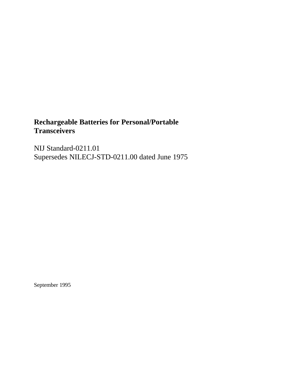# **Rechargeable Batteries for Personal/Portable Transceivers**

NIJ Standard-0211.01 Supersedes NILECJ-STD-0211.00 dated June 1975

September 1995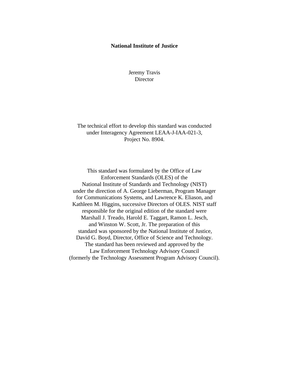#### **National Institute of Justice**

Jeremy Travis **Director** 

The technical effort to develop this standard was conducted under Interagency Agreement LEAA-J-IAA-021-3, Project No. 8904.

This standard was formulated by the Office of Law Enforcement Standards (OLES) of the National Institute of Standards and Technology (NIST) under the direction of A. George Lieberman, Program Manager for Communications Systems, and Lawrence K. Eliason, and Kathleen M. Higgins, successive Directors of OLES. NIST staff responsible for the original edition of the standard were Marshall J. Treado, Harold E. Taggart, Ramon L. Jesch, and Winston W. Scott, Jr. The preparation of this standard was sponsored by the National Institute of Justice, David G. Boyd, Director, Office of Science and Technology. The standard has been reviewed and approved by the Law Enforcement Technology Advisory Council (formerly the Technology Assessment Program Advisory Council).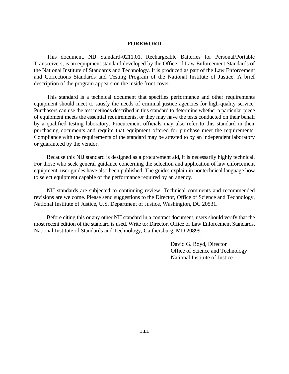#### **FOREWORD**

This document, NIJ Standard-0211.01, Rechargeable Batteries for Personal/Portable Transceivers, is an equipment standard developed by the Office of Law Enforcement Standards of the National Institute of Standards and Technology. It is produced as part of the Law Enforcement and Corrections Standards and Testing Program of the National Institute of Justice. A brief description of the program appears on the inside front cover.

This standard is a technical document that specifies performance and other requirements equipment should meet to satisfy the needs of criminal justice agencies for high-quality service. Purchasers can use the test methods described in this standard to determine whether a particular piece of equipment meets the essential requirements, or they may have the tests conducted on their behalf by a qualified testing laboratory. Procurement officials may also refer to this standard in their purchasing documents and require that equipment offered for purchase meet the requirements. Compliance with the requirements of the standard may be attested to by an independent laboratory or guaranteed by the vendor.

Because this NIJ standard is designed as a procurement aid, it is necessarily highly technical. For those who seek general guidance concerning the selection and application of law enforcement equipment, user guides have also been published. The guides explain in nontechnical language how to select equipment capable of the performance required by an agency.

NIJ standards are subjected to continuing review. Technical comments and recommended revisions are welcome. Please send suggestions to the Director, Office of Science and Technology, National Institute of Justice, U.S. Department of Justice, Washington, DC 20531.

Before citing this or any other NIJ standard in a contract document, users should verify that the most recent edition of the standard is used. Write to: Director, Office of Law Enforcement Standards, National Institute of Standards and Technology, Gaithersburg, MD 20899.

> David G. Boyd, Director Office of Science and Technology National Institute of Justice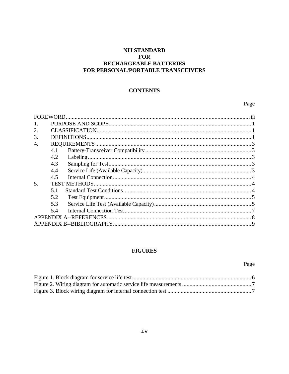# **NIJ STANDARD FOR** RECHARGEABLE BATTERIES FOR PERSONAL/PORTABLE TRANSCEIVERS

# **CONTENTS**

# Page

| FOREWORD.      |     |                         |  |
|----------------|-----|-------------------------|--|
| $\mathbf{1}$ . |     |                         |  |
| 2.             |     |                         |  |
| 3.             |     |                         |  |
| 4.             |     |                         |  |
|                | 4.1 |                         |  |
|                | 4.2 |                         |  |
|                | 4.3 |                         |  |
|                | 4.4 |                         |  |
|                | 4.5 |                         |  |
| 5.             |     |                         |  |
|                | 5.1 |                         |  |
|                | 5.2 |                         |  |
|                | 5.3 |                         |  |
|                | 5.4 |                         |  |
|                |     | APPENDIX A--REFERENCES. |  |
|                |     |                         |  |

# **FIGURES**

# Page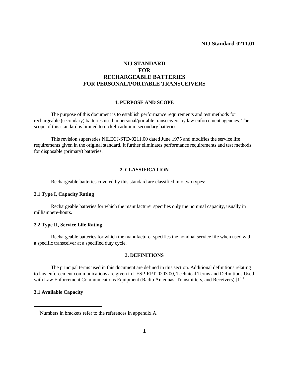#### **NIJ Standard-0211.01**

### **NIJ STANDARD FOR RECHARGEABLE BATTERIES FOR PERSONAL/PORTABLE TRANSCEIVERS**

#### **1. PURPOSE AND SCOPE**

The purpose of this document is to establish performance requirements and test methods for rechargeable (secondary) batteries used in personal/portable transceivers by law enforcement agencies. The scope of this standard is limited to nickel-cadmium secondary batteries.

This revision supersedes NILECJ-STD-0211.00 dated June 1975 and modifies the service life requirements given in the original standard. It further eliminates performance requirements and test methods for disposable (primary) batteries.

#### **2. CLASSIFICATION**

Rechargeable batteries covered by this standard are classified into two types:

#### **2.1 Type I, Capacity Rating**

Rechargeable batteries for which the manufacturer specifies only the nominal capacity, usually in milliampere-hours.

#### **2.2 Type II, Service Life Rating**

Rechargeable batteries for which the manufacturer specifies the nominal service life when used with a specific transceiver at a specified duty cycle.

#### **3. DEFINITIONS**

The principal terms used in this document are defined in this section. Additional definitions relating to law enforcement communications are given in LESP-RPT-0203.00, Technical Terms and Definitions Used with Law Enforcement Communications Equipment (Radio Antennas, Transmitters, and Receivers) [1].<sup>1</sup>

#### **3.1 Available Capacity**

<sup>1</sup> Numbers in brackets refer to the references in appendix A.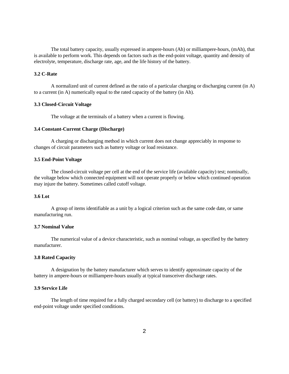The total battery capacity, usually expressed in ampere-hours (Ah) or milliampere-hours, (mAh), that is available to perform work. This depends on factors such as the end-point voltage, quantity and density of electrolyte, temperature, discharge rate, age, and the life history of the battery.

#### **3.2 C-Rate**

A normalized unit of current defined as the ratio of a particular charging or discharging current (in A) to a current (in A) numerically equal to the rated capacity of the battery (in Ah).

#### **3.3 Closed-Circuit Voltage**

The voltage at the terminals of a battery when a current is flowing.

#### **3.4 Constant-Current Charge (Discharge)**

A charging or discharging method in which current does not change appreciably in response to changes of circuit parameters such as battery voltage or load resistance.

#### **3.5 End-Point Voltage**

The closed-circuit voltage per cell at the end of the service life (available capacity) test; nominally, the voltage below which connected equipment will not operate properly or below which continued operation may injure the battery. Sometimes called cutoff voltage.

#### **3.6 Lot**

A group of items identifiable as a unit by a logical criterion such as the same code date, or same manufacturing run.

#### **3.7 Nominal Value**

The numerical value of a device characteristic, such as nominal voltage, as specified by the battery manufacturer.

#### **3.8 Rated Capacity**

A designation by the battery manufacturer which serves to identify approximate capacity of the battery in ampere-hours or milliampere-hours usually at typical transceiver discharge rates.

#### **3.9 Service Life**

The length of time required for a fully charged secondary cell (or battery) to discharge to a specified end-point voltage under specified conditions.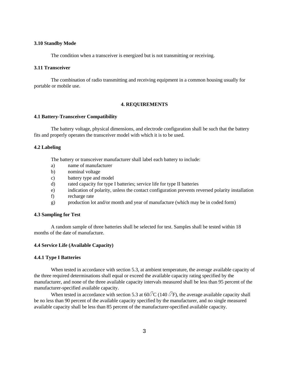#### **3.10 Standby Mode**

The condition when a transceiver is energized but is not transmitting or receiving.

#### **3.11 Transceiver**

The combination of radio transmitting and receiving equipment in a common housing usually for portable or mobile use.

#### **4. REQUIREMENTS**

#### **4.1 Battery-Transceiver Compatibility**

The battery voltage, physical dimensions, and electrode configuration shall be such that the battery fits and properly operates the transceiver model with which it is to be used.

#### **4.2 Labeling**

The battery or transceiver manufacturer shall label each battery to include:

- a) name of manufacturer
- b) nominal voltage
- c) battery type and model
- d) rated capacity for type I batteries; service life for type II batteries
- e) indication of polarity, unless the contact configuration prevents reversed polarity installation
- f) recharge rate
- g) production lot and/or month and year of manufacture (which may be in coded form)

#### **4.3 Sampling for Test**

A random sample of three batteries shall be selected for test. Samples shall be tested within 18 months of the date of manufacture.

#### **4.4 Service Life (Available Capacity)**

#### **4.4.1 Type I Batteries**

When tested in accordance with section 5.3, at ambient temperature, the average available capacity of the three required determinations shall equal or exceed the available capacity rating specified by the manufacturer, and none of the three available capacity intervals measured shall be less than 95 percent of the manufacturer-specified available capacity.

When tested in accordance with section 5.3 at 60 $\angle$ C (140  $\angle$ F), the average available capacity shall be no less than 90 percent of the available capacity specified by the manufacturer, and no single measured available capacity shall be less than 85 percent of the manufacturer-specified available capacity.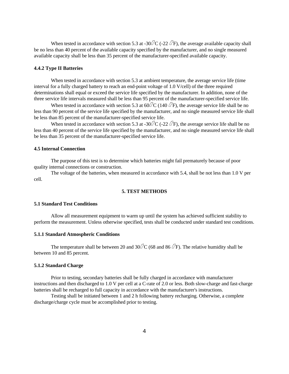When tested in accordance with section 5.3 at -30 $\angle$ C (-22  $\angle$ F), the average available capacity shall be no less than 40 percent of the available capacity specified by the manufacturer, and no single measured available capacity shall be less than 35 percent of the manufacturer-specified available capacity.

#### **4.4.2 Type II Batteries**

When tested in accordance with section 5.3 at ambient temperature, the average service life (time interval for a fully charged battery to reach an end-point voltage of 1.0 V/cell) of the three required determinations shall equal or exceed the service life specified by the manufacturer. In addition, none of the three service life intervals measured shall be less than 95 percent of the manufacturer-specified service life.

When tested in accordance with section 5.3 at 60 $\angle$ C (140  $\angle$ F), the average service life shall be no less than 90 percent of the service life specified by the manufacturer, and no single measured service life shall be less than 85 percent of the manufacturer-specified service life.

When tested in accordance with section 5.3 at -30 $\angle$ C (-22  $\angle$ F), the average service life shall be no less than 40 percent of the service life specified by the manufacturer, and no single measured service life shall be less than 35 percent of the manufacturer-specified service life.

#### **4.5 Internal Connection**

The purpose of this test is to determine which batteries might fail prematurely because of poor quality internal connections or construction.

The voltage of the batteries, when measured in accordance with 5.4, shall be not less than 1.0 V per cell.

#### **5. TEST METHODS**

#### **5.1 Standard Test Conditions**

Allow all measurement equipment to warm up until the system has achieved sufficient stability to perform the measurement. Unless otherwise specified, tests shall be conducted under standard test conditions.

#### **5.1.1 Standard Atmospheric Conditions**

The temperature shall be between 20 and 30 $\angle$ C (68 and 86  $\angle$ F). The relative humidity shall be between 10 and 85 percent.

#### **5.1.2 Standard Charge**

Prior to testing, secondary batteries shall be fully charged in accordance with manufacturer instructions and then discharged to 1.0 V per cell at a C-rate of 2.0 or less. Both slow-charge and fast-charge batteries shall be recharged to full capacity in accordance with the manufacturer's instructions.

Testing shall be initiated between 1 and 2 h following battery recharging. Otherwise, a complete discharge/charge cycle must be accomplished prior to testing.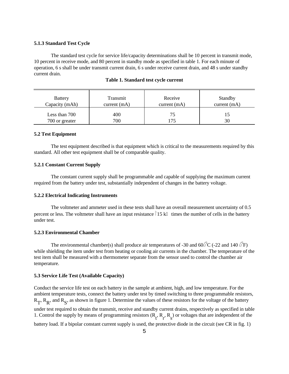#### **5.1.3 Standard Test Cycle**

The standard test cycle for service life/capacity determinations shall be 10 percent in transmit mode, 10 percent in receive mode, and 80 percent in standby mode as specified in table 1. For each minute of operation, 6 s shall be under transmit current drain, 6 s under receive current drain, and 48 s under standby current drain.

| <b>Battery</b>                  | Transmit    | Receive        | Standby      |
|---------------------------------|-------------|----------------|--------------|
| Capacity (mAh)                  | current(mA) | current $(mA)$ | current (mA) |
| Less than 700<br>700 or greater | 400<br>700  | 175            | 30           |

| Table 1. Standard test cycle current |  |  |
|--------------------------------------|--|--|
|--------------------------------------|--|--|

#### **5.2 Test Equipment**

The test equipment described is that equipment which is critical to the measurements required by this standard. All other test equipment shall be of comparable quality.

#### **5.2.1 Constant Current Supply**

The constant current supply shall be programmable and capable of supplying the maximum current required from the battery under test, substantially independent of changes in the battery voltage.

#### **5.2.2 Electrical Indicating Instruments**

The voltmeter and ammeter used in these tests shall have an overall measurement uncertainty of 0.5 percent or less. The voltmeter shall have an input resistance  $\frac{15}{k}$  times the number of cells in the battery under test.

#### **5.2.3 Environmental Chamber**

The environmental chamber(s) shall produce air temperatures of -30 and 60 $\angle$ C (-22 and 140  $\angle$ F) while shielding the item under test from heating or cooling air currents in the chamber. The temperature of the test item shall be measured with a thermometer separate from the sensor used to control the chamber air temperature.

#### **5.3 Service Life Test (Available Capacity)**

Conduct the service life test on each battery in the sample at ambient, high, and low temperature. For the ambient temperature tests, connect the battery under test by timed switching to three programmable resistors,  $R_T$ ,  $R_R$ , and  $R_S$ , as shown in figure 1. Determine the values of these resistors for the voltage of the battery under test required to obtain the transmit, receive and standby current drains, respectively as specified in table 1. Control the supply by means of programming resistors  $(R_t, R_r, R_s)$  or voltages that are independent of the battery load. If a bipolar constant current supply is used, the protective diode in the circuit (see CR in fig. 1)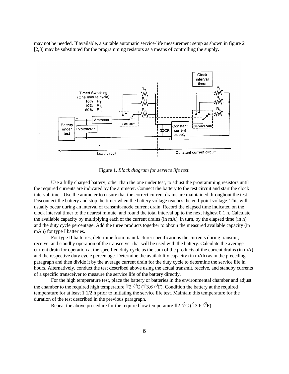may not be needed. If available, a suitable automatic service-life measurement setup as shown in figure 2 [2,3] may be substituted for the programming resistors as a means of controlling the supply.



Figure 1. *Block diagram for service life test.* 

Use a fully charged battery, other than the one under test, to adjust the programming resistors until the required currents are indicated by the ammeter. Connect the battery to the test circuit and start the clock interval timer. Use the ammeter to ensure that the correct current drains are maintained throughout the test. Disconnect the battery and stop the timer when the battery voltage reaches the end-point voltage. This will usually occur during an interval of transmit-mode current drain. Record the elapsed time indicated on the clock interval timer to the nearest minute, and round the total interval up to the next highest 0.1 h. Calculate the available capacity by multiplying each of the current drains (in mA), in turn, by the elapsed time (in h) and the duty cycle percentage. Add the three products together to obtain the measured available capacity (in mAh) for type I batteries.

For type II batteries, determine from manufacturer specifications the currents during transmit, receive, and standby operation of the transceiver that will be used with the battery. Calculate the average current drain for operation at the specified duty cycle as the sum of the products of the current drains (in mA) and the respective duty cycle percentage. Determine the availability capacity (in mAh) as in the preceding paragraph and then divide it by the average current drain for the duty cycle to determine the service life in hours. Alternatively, conduct the test described above using the actual transmit, receive, and standby currents of a specific transceiver to measure the service life of the battery directly.

For the high temperature test, place the battery or batteries in the environmental chamber and adjust the chamber to the required high temperature  $\hat{T}2 \angle C$  ( $\hat{T}3.6 \angle F$ ). Condition the battery at the required temperature for at least 1 1/2 h prior to initiating the service life test. Maintain this temperature for the duration of the test described in the previous paragraph.

Repeat the above procedure for the required low temperature  $\hat{p}$  2  $\hat{C}C(\hat{p}$  3.6  $\hat{C}F$ ).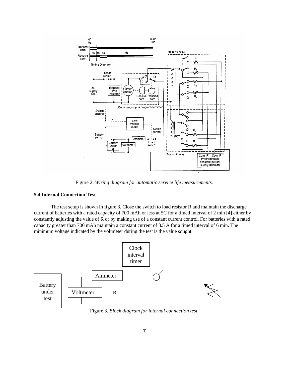

Figure 2. *Wiring diagram for automatic service life measurements.* 

#### **5.4 Internal Connection Test**

The test setup is shown in figure 3. Close the switch to load resistor R and maintain the discharge current of batteries with a rated capacity of 700 mAh or less at 5C for a timed interval of 2 min [4] either by constantly adjusting the value of R or by making use of a constant current control. For batteries with a rated capacity greater than 700 mAh maintain a constant current of 3.5 A for a timed interval of 6 min. The minimum voltage indicated by the voltmeter during the test is the value sought.



Figure 3. *Block diagram for internal connection test.*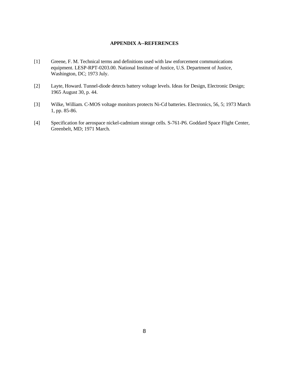#### **APPENDIX A--REFERENCES**

- [1] Greene, F. M. Technical terms and definitions used with law enforcement communications equipment. LESP-RPT-0203.00. National Institute of Justice, U.S. Department of Justice, Washington, DC; 1973 July.
- [2] Layte, Howard. Tunnel-diode detects battery voltage levels. Ideas for Design, Electronic Design; 1965 August 30, p. 44.
- [3] Wilke, William. C-MOS voltage monitors protects Ni-Cd batteries. Electronics, 56, 5; 1973 March 1, pp. 85-86.
- [4] Specification for aerospace nickel-cadmium storage cells. S-761-P6. Goddard Space Flight Center, Greenbelt, MD; 1971 March.